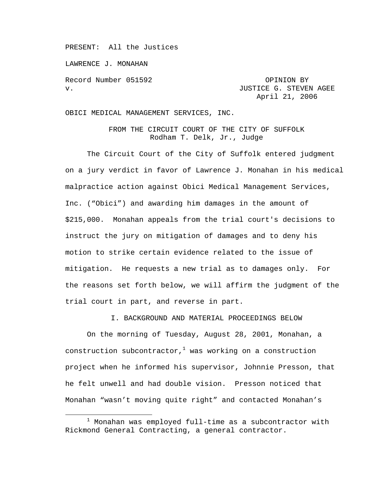PRESENT: All the Justices

LAWRENCE J. MONAHAN

Record Number 051592 OPINION BY

v. **JUSTICE G. STEVEN AGEE** April 21, 2006

OBICI MEDICAL MANAGEMENT SERVICES, INC.

FROM THE CIRCUIT COURT OF THE CITY OF SUFFOLK Rodham T. Delk, Jr., Judge

 The Circuit Court of the City of Suffolk entered judgment on a jury verdict in favor of Lawrence J. Monahan in his medical malpractice action against Obici Medical Management Services, Inc. ("Obici") and awarding him damages in the amount of \$215,000. Monahan appeals from the trial court's decisions to instruct the jury on mitigation of damages and to deny his motion to strike certain evidence related to the issue of mitigation. He requests a new trial as to damages only. For the reasons set forth below, we will affirm the judgment of the trial court in part, and reverse in part.

I. BACKGROUND AND MATERIAL PROCEEDINGS BELOW

 On the morning of Tuesday, August 28, 2001, Monahan, a construction subcontractor, $^1$  was working on a construction project when he informed his supervisor, Johnnie Presson, that he felt unwell and had double vision. Presson noticed that Monahan "wasn't moving quite right" and contacted Monahan's

<sup>1</sup>  $1$  Monahan was employed full-time as a subcontractor with Rickmond General Contracting, a general contractor.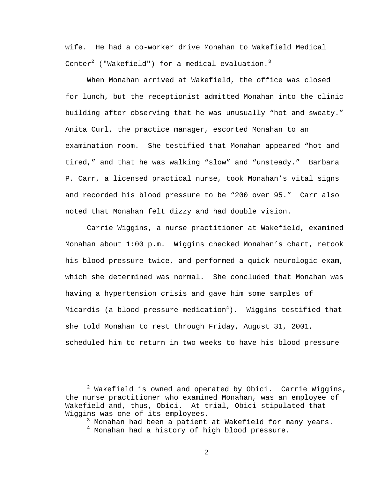wife. He had a co-worker drive Monahan to Wakefield Medical Center $^2$  ("Wakefield") for a medical evaluation. $^3$ 

 When Monahan arrived at Wakefield, the office was closed for lunch, but the receptionist admitted Monahan into the clinic building after observing that he was unusually "hot and sweaty." Anita Curl, the practice manager, escorted Monahan to an examination room. She testified that Monahan appeared "hot and tired," and that he was walking "slow" and "unsteady." Barbara P. Carr, a licensed practical nurse, took Monahan's vital signs and recorded his blood pressure to be "200 over 95." Carr also noted that Monahan felt dizzy and had double vision.

 Carrie Wiggins, a nurse practitioner at Wakefield, examined Monahan about 1:00 p.m. Wiggins checked Monahan's chart, retook his blood pressure twice, and performed a quick neurologic exam, which she determined was normal. She concluded that Monahan was having a hypertension crisis and gave him some samples of Micardis (a blood pressure medication $^4$ ). Wiggins testified that she told Monahan to rest through Friday, August 31, 2001, scheduled him to return in two weeks to have his blood pressure

 $\overline{\phantom{a}}$  2  $2$  Wakefield is owned and operated by Obici. Carrie Wiggins, the nurse practitioner who examined Monahan, was an employee of Wakefield and, thus, Obici. At trial, Obici stipulated that Wiggins was one of its employees.

<sup>&</sup>lt;sup>3</sup> Monahan had been a patient at Wakefield for many years.

 $^4$  Monahan had a history of high blood pressure.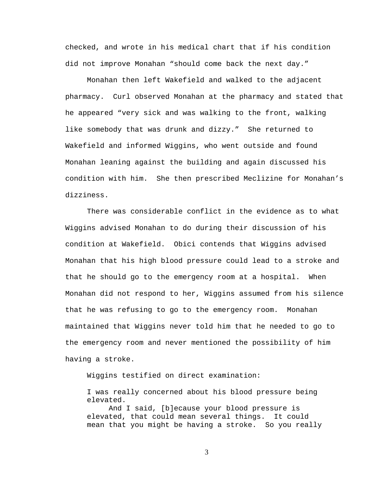checked, and wrote in his medical chart that if his condition did not improve Monahan "should come back the next day."

Monahan then left Wakefield and walked to the adjacent pharmacy. Curl observed Monahan at the pharmacy and stated that he appeared "very sick and was walking to the front, walking like somebody that was drunk and dizzy." She returned to Wakefield and informed Wiggins, who went outside and found Monahan leaning against the building and again discussed his condition with him. She then prescribed Meclizine for Monahan's dizziness.

There was considerable conflict in the evidence as to what Wiggins advised Monahan to do during their discussion of his condition at Wakefield. Obici contends that Wiggins advised Monahan that his high blood pressure could lead to a stroke and that he should go to the emergency room at a hospital. When Monahan did not respond to her, Wiggins assumed from his silence that he was refusing to go to the emergency room. Monahan maintained that Wiggins never told him that he needed to go to the emergency room and never mentioned the possibility of him having a stroke.

Wiggins testified on direct examination:

I was really concerned about his blood pressure being elevated.

And I said, [b]ecause your blood pressure is elevated, that could mean several things. It could mean that you might be having a stroke. So you really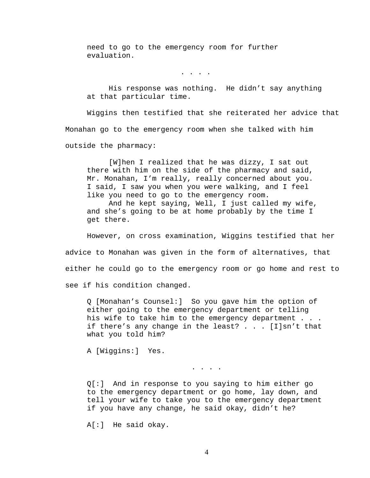need to go to the emergency room for further evaluation.

. . . .

His response was nothing. He didn't say anything at that particular time.

Wiggins then testified that she reiterated her advice that Monahan go to the emergency room when she talked with him outside the pharmacy:

 [W]hen I realized that he was dizzy, I sat out there with him on the side of the pharmacy and said, Mr. Monahan, I'm really, really concerned about you. I said, I saw you when you were walking, and I feel like you need to go to the emergency room.

 And he kept saying, Well, I just called my wife, and she's going to be at home probably by the time I get there.

 However, on cross examination, Wiggins testified that her advice to Monahan was given in the form of alternatives, that either he could go to the emergency room or go home and rest to see if his condition changed.

Q [Monahan's Counsel:] So you gave him the option of either going to the emergency department or telling his wife to take him to the emergency department . . . if there's any change in the least?  $\ldots$  [I]sn't that what you told him?

A [Wiggins:] Yes.

Q[:] And in response to you saying to him either go to the emergency department or go home, lay down, and tell your wife to take you to the emergency department if you have any change, he said okay, didn't he?

. . . .

A[:] He said okay.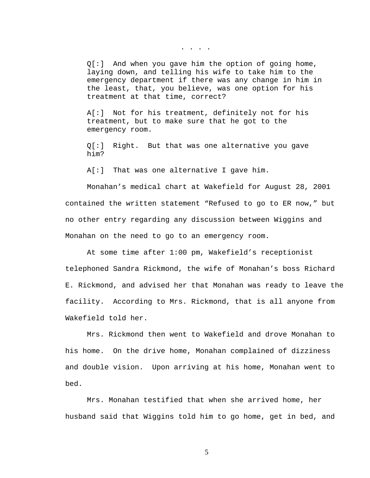. . . .

Q[:] And when you gave him the option of going home, laying down, and telling his wife to take him to the emergency department if there was any change in him in the least, that, you believe, was one option for his treatment at that time, correct?

A[:] Not for his treatment, definitely not for his treatment, but to make sure that he got to the emergency room.

Q[:] Right. But that was one alternative you gave him?

A[:] That was one alternative I gave him.

Monahan's medical chart at Wakefield for August 28, 2001 contained the written statement "Refused to go to ER now," but no other entry regarding any discussion between Wiggins and Monahan on the need to go to an emergency room.

At some time after 1:00 pm, Wakefield's receptionist telephoned Sandra Rickmond, the wife of Monahan's boss Richard E. Rickmond, and advised her that Monahan was ready to leave the facility. According to Mrs. Rickmond, that is all anyone from Wakefield told her.

Mrs. Rickmond then went to Wakefield and drove Monahan to his home. On the drive home, Monahan complained of dizziness and double vision. Upon arriving at his home, Monahan went to bed.

 Mrs. Monahan testified that when she arrived home, her husband said that Wiggins told him to go home, get in bed, and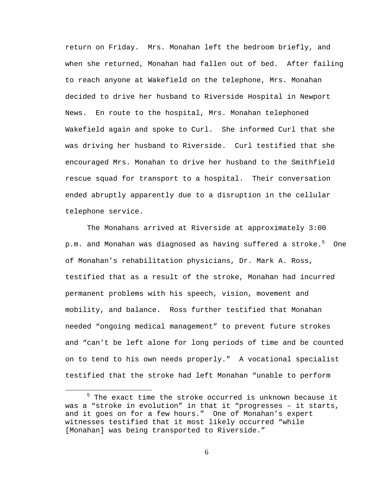return on Friday. Mrs. Monahan left the bedroom briefly, and when she returned, Monahan had fallen out of bed. After failing to reach anyone at Wakefield on the telephone, Mrs. Monahan decided to drive her husband to Riverside Hospital in Newport News. En route to the hospital, Mrs. Monahan telephoned Wakefield again and spoke to Curl. She informed Curl that she was driving her husband to Riverside. Curl testified that she encouraged Mrs. Monahan to drive her husband to the Smithfield rescue squad for transport to a hospital. Their conversation ended abruptly apparently due to a disruption in the cellular telephone service.

The Monahans arrived at Riverside at approximately 3:00 p.m. and Monahan was diagnosed as having suffered a stroke. $^5$  One of Monahan's rehabilitation physicians, Dr. Mark A. Ross, testified that as a result of the stroke, Monahan had incurred permanent problems with his speech, vision, movement and mobility, and balance. Ross further testified that Monahan needed "ongoing medical management" to prevent future strokes and "can't be left alone for long periods of time and be counted on to tend to his own needs properly." A vocational specialist testified that the stroke had left Monahan "unable to perform

<sup>5</sup>  $5$  The exact time the stroke occurred is unknown because it was a "stroke in evolution" in that it "progresses – it starts, and it goes on for a few hours." One of Monahan's expert witnesses testified that it most likely occurred "while [Monahan] was being transported to Riverside."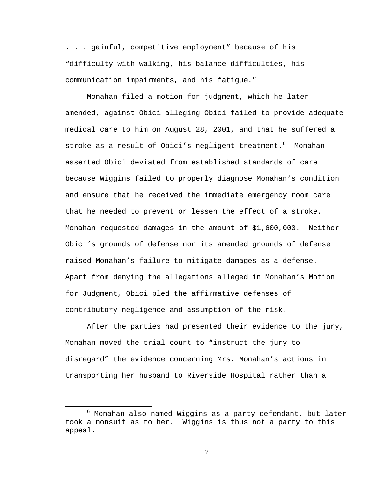. . . gainful, competitive employment" because of his "difficulty with walking, his balance difficulties, his communication impairments, and his fatigue."

 Monahan filed a motion for judgment, which he later amended, against Obici alleging Obici failed to provide adequate medical care to him on August 28, 2001, and that he suffered a stroke as a result of Obici's negligent treatment.<sup>6</sup> Monahan asserted Obici deviated from established standards of care because Wiggins failed to properly diagnose Monahan's condition and ensure that he received the immediate emergency room care that he needed to prevent or lessen the effect of a stroke. Monahan requested damages in the amount of \$1,600,000. Neither Obici's grounds of defense nor its amended grounds of defense raised Monahan's failure to mitigate damages as a defense. Apart from denying the allegations alleged in Monahan's Motion for Judgment, Obici pled the affirmative defenses of contributory negligence and assumption of the risk.

After the parties had presented their evidence to the jury, Monahan moved the trial court to "instruct the jury to disregard" the evidence concerning Mrs. Monahan's actions in transporting her husband to Riverside Hospital rather than a

<sup>6</sup>  $6$  Monahan also named Wiggins as a party defendant, but later took a nonsuit as to her. Wiggins is thus not a party to this appeal.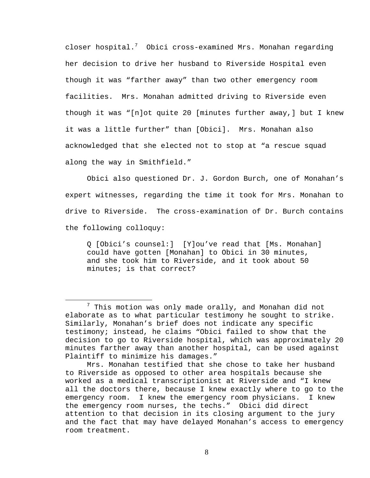closer hospital. $^7$  Obici cross-examined Mrs. Monahan regarding her decision to drive her husband to Riverside Hospital even though it was "farther away" than two other emergency room facilities. Mrs. Monahan admitted driving to Riverside even though it was "[n]ot quite 20 [minutes further away,] but I knew it was a little further" than [Obici]. Mrs. Monahan also acknowledged that she elected not to stop at "a rescue squad along the way in Smithfield."

Obici also questioned Dr. J. Gordon Burch, one of Monahan's expert witnesses, regarding the time it took for Mrs. Monahan to drive to Riverside. The cross-examination of Dr. Burch contains the following colloquy:

Q [Obici's counsel:] [Y]ou've read that [Ms. Monahan] could have gotten [Monahan] to Obici in 30 minutes, and she took him to Riverside, and it took about 50 minutes; is that correct?

 $\overline{7}$  $7$  This motion was only made orally, and Monahan did not elaborate as to what particular testimony he sought to strike. Similarly, Monahan's brief does not indicate any specific testimony; instead, he claims "Obici failed to show that the decision to go to Riverside hospital, which was approximately 20 minutes farther away than another hospital, can be used against Plaintiff to minimize his damages."

Mrs. Monahan testified that she chose to take her husband to Riverside as opposed to other area hospitals because she worked as a medical transcriptionist at Riverside and "I knew all the doctors there, because I knew exactly where to go to the emergency room. I knew the emergency room physicians. I knew the emergency room nurses, the techs." Obici did direct attention to that decision in its closing argument to the jury and the fact that may have delayed Monahan's access to emergency room treatment.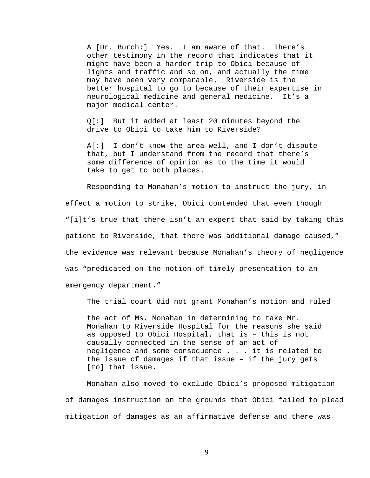A [Dr. Burch:] Yes. I am aware of that. There's other testimony in the record that indicates that it might have been a harder trip to Obici because of lights and traffic and so on, and actually the time may have been very comparable. Riverside is the better hospital to go to because of their expertise in neurological medicine and general medicine. It's a major medical center.

Q[:] But it added at least 20 minutes beyond the drive to Obici to take him to Riverside?

A[:] I don't know the area well, and I don't dispute that, but I understand from the record that there's some difference of opinion as to the time it would take to get to both places.

Responding to Monahan's motion to instruct the jury, in effect a motion to strike, Obici contended that even though "[i]t's true that there isn't an expert that said by taking this patient to Riverside, that there was additional damage caused," the evidence was relevant because Monahan's theory of negligence was "predicated on the notion of timely presentation to an emergency department."

The trial court did not grant Monahan's motion and ruled

the act of Ms. Monahan in determining to take Mr. Monahan to Riverside Hospital for the reasons she said as opposed to Obici Hospital, that is – this is not causally connected in the sense of an act of negligence and some consequence . . . it is related to the issue of damages if that issue – if the jury gets [to] that issue.

 Monahan also moved to exclude Obici's proposed mitigation of damages instruction on the grounds that Obici failed to plead mitigation of damages as an affirmative defense and there was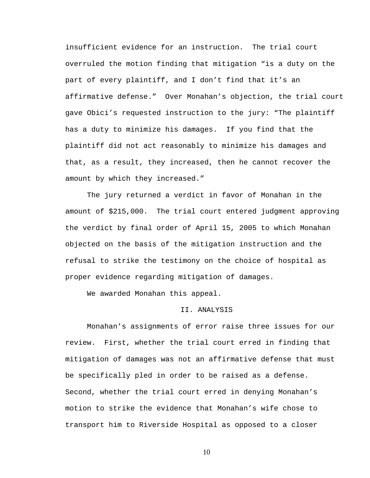insufficient evidence for an instruction. The trial court overruled the motion finding that mitigation "is a duty on the part of every plaintiff, and I don't find that it's an affirmative defense." Over Monahan's objection, the trial court gave Obici's requested instruction to the jury: "The plaintiff has a duty to minimize his damages. If you find that the plaintiff did not act reasonably to minimize his damages and that, as a result, they increased, then he cannot recover the amount by which they increased."

The jury returned a verdict in favor of Monahan in the amount of \$215,000. The trial court entered judgment approving the verdict by final order of April 15, 2005 to which Monahan objected on the basis of the mitigation instruction and the refusal to strike the testimony on the choice of hospital as proper evidence regarding mitigation of damages.

We awarded Monahan this appeal.

## II. ANALYSIS

 Monahan's assignments of error raise three issues for our review. First, whether the trial court erred in finding that mitigation of damages was not an affirmative defense that must be specifically pled in order to be raised as a defense. Second, whether the trial court erred in denying Monahan's motion to strike the evidence that Monahan's wife chose to transport him to Riverside Hospital as opposed to a closer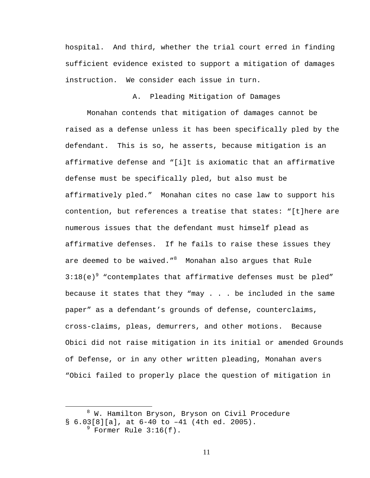hospital. And third, whether the trial court erred in finding sufficient evidence existed to support a mitigation of damages instruction. We consider each issue in turn.

A. Pleading Mitigation of Damages

 Monahan contends that mitigation of damages cannot be raised as a defense unless it has been specifically pled by the defendant. This is so, he asserts, because mitigation is an affirmative defense and "[i]t is axiomatic that an affirmative defense must be specifically pled, but also must be affirmatively pled." Monahan cites no case law to support his contention, but references a treatise that states: "[t]here are numerous issues that the defendant must himself plead as affirmative defenses. If he fails to raise these issues they are deemed to be waived." $^8$  – Monahan also argues that Rule  $3:18(e)^9$  "contemplates that affirmative defenses must be pled" because it states that they "may . . . be included in the same paper" as a defendant's grounds of defense, counterclaims, cross-claims, pleas, demurrers, and other motions. Because Obici did not raise mitigation in its initial or amended Grounds of Defense, or in any other written pleading, Monahan avers "Obici failed to properly place the question of mitigation in

 $\overline{a}$ <sup>8</sup> W. Hamilton Bryson, Bryson on Civil Procedure  $\S$  6.03[8][a], at 6-40 to -41 (4th ed. 2005).

 $^9$  Former Rule 3:16(f).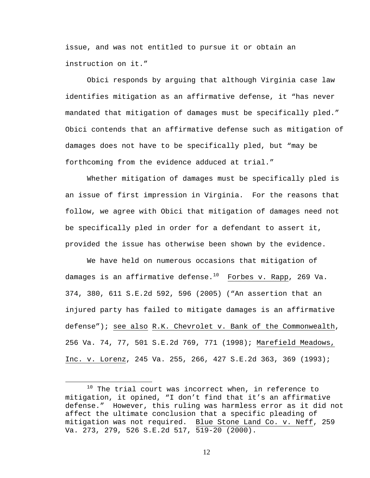issue, and was not entitled to pursue it or obtain an instruction on it."

Obici responds by arguing that although Virginia case law identifies mitigation as an affirmative defense, it "has never mandated that mitigation of damages must be specifically pled." Obici contends that an affirmative defense such as mitigation of damages does not have to be specifically pled, but "may be forthcoming from the evidence adduced at trial."

Whether mitigation of damages must be specifically pled is an issue of first impression in Virginia. For the reasons that follow, we agree with Obici that mitigation of damages need not be specifically pled in order for a defendant to assert it, provided the issue has otherwise been shown by the evidence.

We have held on numerous occasions that mitigation of damages is an affirmative defense. $^{10}$  Forbes v. Rapp, 269 Va. 374, 380, 611 S.E.2d 592, 596 (2005) ("An assertion that an injured party has failed to mitigate damages is an affirmative defense"); see also R.K. Chevrolet v. Bank of the Commonwealth, 256 Va. 74, 77, 501 S.E.2d 769, 771 (1998); Marefield Meadows, Inc. v. Lorenz, 245 Va. 255, 266, 427 S.E.2d 363, 369 (1993);

 $10$  The trial court was incorrect when, in reference to mitigation, it opined, "I don't find that it's an affirmative defense." However, this ruling was harmless error as it did not affect the ultimate conclusion that a specific pleading of mitigation was not required. Blue Stone Land Co. v. Neff, 259 Va. 273, 279, 526 S.E.2d 517, 519-20 (2000).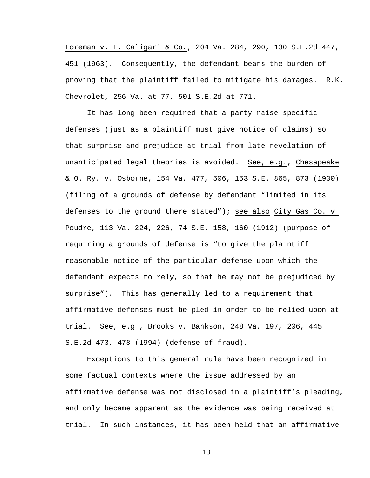Foreman v. E. Caligari & Co., 204 Va. 284, 290, 130 S.E.2d 447, 451 (1963). Consequently, the defendant bears the burden of proving that the plaintiff failed to mitigate his damages. R.K. Chevrolet, 256 Va. at 77, 501 S.E.2d at 771.

It has long been required that a party raise specific defenses (just as a plaintiff must give notice of claims) so that surprise and prejudice at trial from late revelation of unanticipated legal theories is avoided. See, e.g., Chesapeake & O. Ry. v. Osborne, 154 Va. 477, 506, 153 S.E. 865, 873 (1930) (filing of a grounds of defense by defendant "limited in its defenses to the ground there stated"); see also City Gas Co. v. Poudre, 113 Va. 224, 226, 74 S.E. 158, 160 (1912) (purpose of requiring a grounds of defense is "to give the plaintiff reasonable notice of the particular defense upon which the defendant expects to rely, so that he may not be prejudiced by surprise"). This has generally led to a requirement that affirmative defenses must be pled in order to be relied upon at trial. See, e.g., Brooks v. Bankson, 248 Va. 197, 206, 445 S.E.2d 473, 478 (1994) (defense of fraud).

Exceptions to this general rule have been recognized in some factual contexts where the issue addressed by an affirmative defense was not disclosed in a plaintiff's pleading, and only became apparent as the evidence was being received at trial. In such instances, it has been held that an affirmative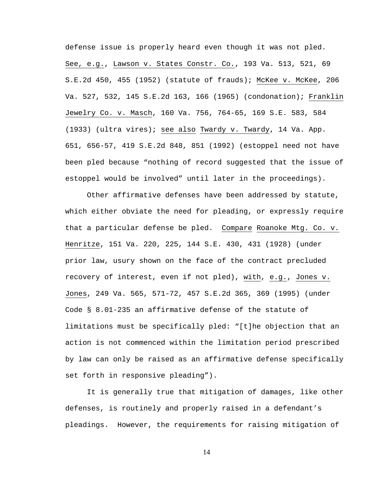defense issue is properly heard even though it was not pled. See, e.g., Lawson v. States Constr. Co., 193 Va. 513, 521, 69 S.E.2d 450, 455 (1952) (statute of frauds); McKee v. McKee, 206 Va. 527, 532, 145 S.E.2d 163, 166 (1965) (condonation); Franklin Jewelry Co. v. Masch, 160 Va. 756, 764-65, 169 S.E. 583, 584 (1933) (ultra vires); see also Twardy v. Twardy, 14 Va. App. 651, 656-57, 419 S.E.2d 848, 851 (1992) (estoppel need not have been pled because "nothing of record suggested that the issue of estoppel would be involved" until later in the proceedings).

Other affirmative defenses have been addressed by statute, which either obviate the need for pleading, or expressly require that a particular defense be pled. Compare Roanoke Mtg. Co. v. Henritze, 151 Va. 220, 225, 144 S.E. 430, 431 (1928) (under prior law, usury shown on the face of the contract precluded recovery of interest, even if not pled), with, e.g., Jones v. Jones, 249 Va. 565, 571-72, 457 S.E.2d 365, 369 (1995) (under Code § 8.01-235 an affirmative defense of the statute of limitations must be specifically pled: "[t]he objection that an action is not commenced within the limitation period prescribed by law can only be raised as an affirmative defense specifically set forth in responsive pleading").

It is generally true that mitigation of damages, like other defenses, is routinely and properly raised in a defendant's pleadings. However, the requirements for raising mitigation of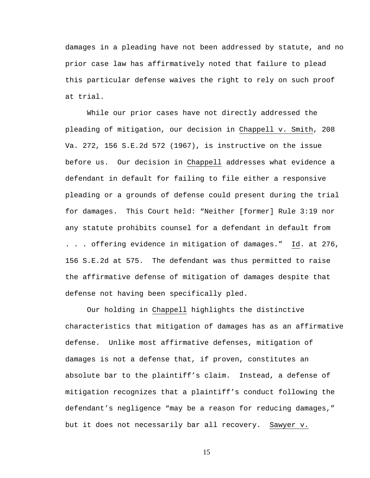damages in a pleading have not been addressed by statute, and no prior case law has affirmatively noted that failure to plead this particular defense waives the right to rely on such proof at trial.

While our prior cases have not directly addressed the pleading of mitigation, our decision in Chappell v. Smith, 208 Va. 272, 156 S.E.2d 572 (1967), is instructive on the issue before us. Our decision in Chappell addresses what evidence a defendant in default for failing to file either a responsive pleading or a grounds of defense could present during the trial for damages. This Court held: "Neither [former] Rule 3:19 nor any statute prohibits counsel for a defendant in default from . . . offering evidence in mitigation of damages." Id. at 276, 156 S.E.2d at 575. The defendant was thus permitted to raise the affirmative defense of mitigation of damages despite that defense not having been specifically pled.

Our holding in Chappell highlights the distinctive characteristics that mitigation of damages has as an affirmative defense. Unlike most affirmative defenses, mitigation of damages is not a defense that, if proven, constitutes an absolute bar to the plaintiff's claim. Instead, a defense of mitigation recognizes that a plaintiff's conduct following the defendant's negligence "may be a reason for reducing damages," but it does not necessarily bar all recovery. Sawyer v.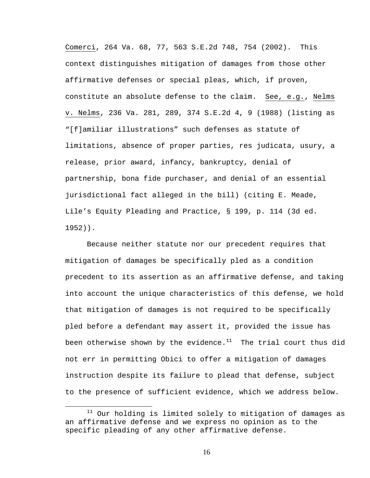Comerci, 264 Va. 68, 77, 563 S.E.2d 748, 754 (2002). This context distinguishes mitigation of damages from those other affirmative defenses or special pleas, which, if proven, constitute an absolute defense to the claim. See, e.g., Nelms v. Nelms, 236 Va. 281, 289, 374 S.E.2d 4, 9 (1988) (listing as "[f]amiliar illustrations" such defenses as statute of limitations, absence of proper parties, res judicata, usury, a release, prior award, infancy, bankruptcy, denial of partnership, bona fide purchaser, and denial of an essential jurisdictional fact alleged in the bill) (citing E. Meade, Lile's Equity Pleading and Practice, § 199, p. 114 (3d ed. 1952)).

Because neither statute nor our precedent requires that mitigation of damages be specifically pled as a condition precedent to its assertion as an affirmative defense, and taking into account the unique characteristics of this defense, we hold that mitigation of damages is not required to be specifically pled before a defendant may assert it, provided the issue has been otherwise shown by the evidence.<sup>11</sup> The trial court thus did not err in permitting Obici to offer a mitigation of damages instruction despite its failure to plead that defense, subject to the presence of sufficient evidence, which we address below.

 $11$  Our holding is limited solely to mitigation of damages as an affirmative defense and we express no opinion as to the specific pleading of any other affirmative defense.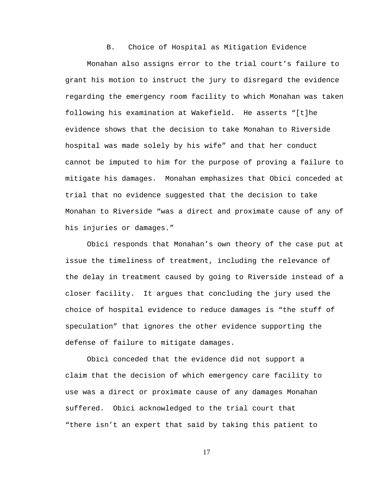B. Choice of Hospital as Mitigation Evidence

Monahan also assigns error to the trial court's failure to grant his motion to instruct the jury to disregard the evidence regarding the emergency room facility to which Monahan was taken following his examination at Wakefield. He asserts "[t]he evidence shows that the decision to take Monahan to Riverside hospital was made solely by his wife" and that her conduct cannot be imputed to him for the purpose of proving a failure to mitigate his damages. Monahan emphasizes that Obici conceded at trial that no evidence suggested that the decision to take Monahan to Riverside "was a direct and proximate cause of any of his injuries or damages."

Obici responds that Monahan's own theory of the case put at issue the timeliness of treatment, including the relevance of the delay in treatment caused by going to Riverside instead of a closer facility. It argues that concluding the jury used the choice of hospital evidence to reduce damages is "the stuff of speculation" that ignores the other evidence supporting the defense of failure to mitigate damages.

 Obici conceded that the evidence did not support a claim that the decision of which emergency care facility to use was a direct or proximate cause of any damages Monahan suffered. Obici acknowledged to the trial court that "there isn't an expert that said by taking this patient to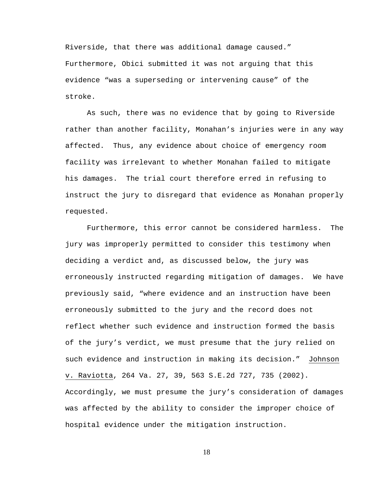Riverside, that there was additional damage caused." Furthermore, Obici submitted it was not arguing that this evidence "was a superseding or intervening cause" of the stroke.

As such, there was no evidence that by going to Riverside rather than another facility, Monahan's injuries were in any way affected. Thus, any evidence about choice of emergency room facility was irrelevant to whether Monahan failed to mitigate his damages. The trial court therefore erred in refusing to instruct the jury to disregard that evidence as Monahan properly requested.

Furthermore, this error cannot be considered harmless. The jury was improperly permitted to consider this testimony when deciding a verdict and, as discussed below, the jury was erroneously instructed regarding mitigation of damages. We have previously said, "where evidence and an instruction have been erroneously submitted to the jury and the record does not reflect whether such evidence and instruction formed the basis of the jury's verdict, we must presume that the jury relied on such evidence and instruction in making its decision." Johnson v. Raviotta, 264 Va. 27, 39, 563 S.E.2d 727, 735 (2002). Accordingly, we must presume the jury's consideration of damages was affected by the ability to consider the improper choice of hospital evidence under the mitigation instruction.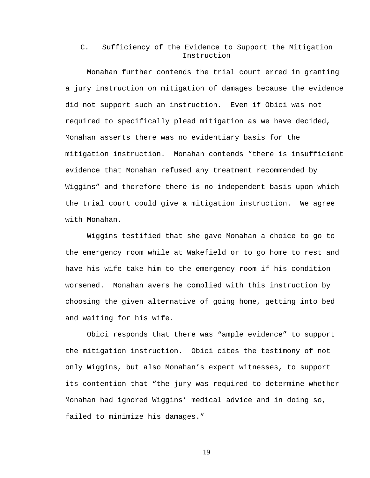C. Sufficiency of the Evidence to Support the Mitigation Instruction

Monahan further contends the trial court erred in granting a jury instruction on mitigation of damages because the evidence did not support such an instruction. Even if Obici was not required to specifically plead mitigation as we have decided, Monahan asserts there was no evidentiary basis for the mitigation instruction. Monahan contends "there is insufficient evidence that Monahan refused any treatment recommended by Wiggins" and therefore there is no independent basis upon which the trial court could give a mitigation instruction. We agree with Monahan.

Wiggins testified that she gave Monahan a choice to go to the emergency room while at Wakefield or to go home to rest and have his wife take him to the emergency room if his condition worsened. Monahan avers he complied with this instruction by choosing the given alternative of going home, getting into bed and waiting for his wife.

Obici responds that there was "ample evidence" to support the mitigation instruction. Obici cites the testimony of not only Wiggins, but also Monahan's expert witnesses, to support its contention that "the jury was required to determine whether Monahan had ignored Wiggins' medical advice and in doing so, failed to minimize his damages."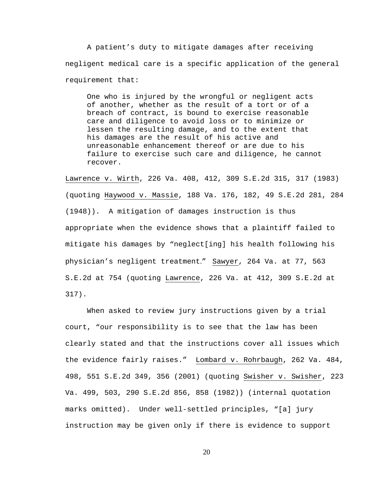A patient's duty to mitigate damages after receiving negligent medical care is a specific application of the general requirement that:

One who is injured by the wrongful or negligent acts of another, whether as the result of a tort or of a breach of contract, is bound to exercise reasonable care and diligence to avoid loss or to minimize or lessen the resulting damage, and to the extent that his damages are the result of his active and unreasonable enhancement thereof or are due to his failure to exercise such care and diligence, he cannot recover.

Lawrence v. Wirth, 226 Va. 408, 412, 309 S.E.2d 315, 317 (1983) (quoting Haywood v. Massie, 188 Va. 176, 182, 49 S.E.2d 281, 284 (1948)). A mitigation of damages instruction is thus appropriate when the evidence shows that a plaintiff failed to mitigate his damages by "neglect[ing] his health following his physician's negligent treatment." Sawyer, 264 Va. at 77, 563 S.E.2d at 754 (quoting Lawrence, 226 Va. at 412, 309 S.E.2d at 317).

When asked to review jury instructions given by a trial court, "our responsibility is to see that the law has been clearly stated and that the instructions cover all issues which the evidence fairly raises." Lombard v. Rohrbaugh, 262 Va. 484, 498, 551 S.E.2d 349, 356 (2001) (quoting Swisher v. Swisher, 223 Va. 499, 503, 290 S.E.2d 856, 858 (1982)) (internal quotation marks omitted). Under well-settled principles, "[a] jury instruction may be given only if there is evidence to support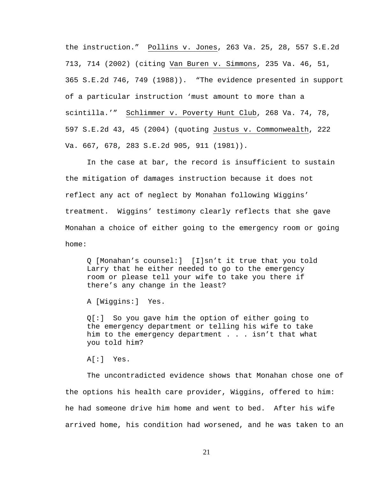the instruction." Pollins v. Jones, 263 Va. 25, 28, 557 S.E.2d 713, 714 (2002) (citing Van Buren v. Simmons, 235 Va. 46, 51, 365 S.E.2d 746, 749 (1988)). "The evidence presented in support of a particular instruction 'must amount to more than a scintilla.'" Schlimmer v. Poverty Hunt Club, 268 Va. 74, 78, 597 S.E.2d 43, 45 (2004) (quoting Justus v. Commonwealth, 222 Va. 667, 678, 283 S.E.2d 905, 911 (1981)).

In the case at bar, the record is insufficient to sustain the mitigation of damages instruction because it does not reflect any act of neglect by Monahan following Wiggins' treatment. Wiggins' testimony clearly reflects that she gave Monahan a choice of either going to the emergency room or going home:

Q [Monahan's counsel:] [I]sn't it true that you told Larry that he either needed to go to the emergency room or please tell your wife to take you there if there's any change in the least?

A [Wiggins:] Yes.

Q[:] So you gave him the option of either going to the emergency department or telling his wife to take him to the emergency department . . . isn't that what you told him?

 $AI:1$  Yes.

The uncontradicted evidence shows that Monahan chose one of the options his health care provider, Wiggins, offered to him: he had someone drive him home and went to bed. After his wife arrived home, his condition had worsened, and he was taken to an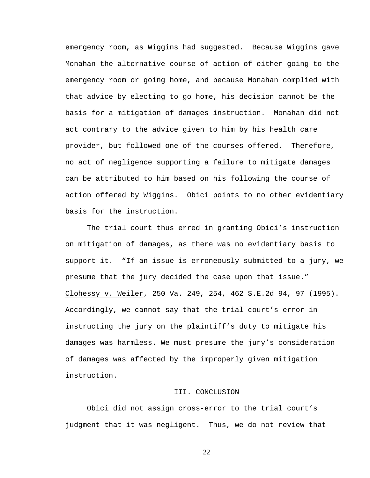emergency room, as Wiggins had suggested. Because Wiggins gave Monahan the alternative course of action of either going to the emergency room or going home, and because Monahan complied with that advice by electing to go home, his decision cannot be the basis for a mitigation of damages instruction. Monahan did not act contrary to the advice given to him by his health care provider, but followed one of the courses offered. Therefore, no act of negligence supporting a failure to mitigate damages can be attributed to him based on his following the course of action offered by Wiggins. Obici points to no other evidentiary basis for the instruction.

 The trial court thus erred in granting Obici's instruction on mitigation of damages, as there was no evidentiary basis to support it. "If an issue is erroneously submitted to a jury, we presume that the jury decided the case upon that issue." Clohessy v. Weiler, 250 Va. 249, 254, 462 S.E.2d 94, 97 (1995). Accordingly, we cannot say that the trial court's error in instructing the jury on the plaintiff's duty to mitigate his damages was harmless. We must presume the jury's consideration of damages was affected by the improperly given mitigation instruction.

## III. CONCLUSION

Obici did not assign cross-error to the trial court's judgment that it was negligent. Thus, we do not review that